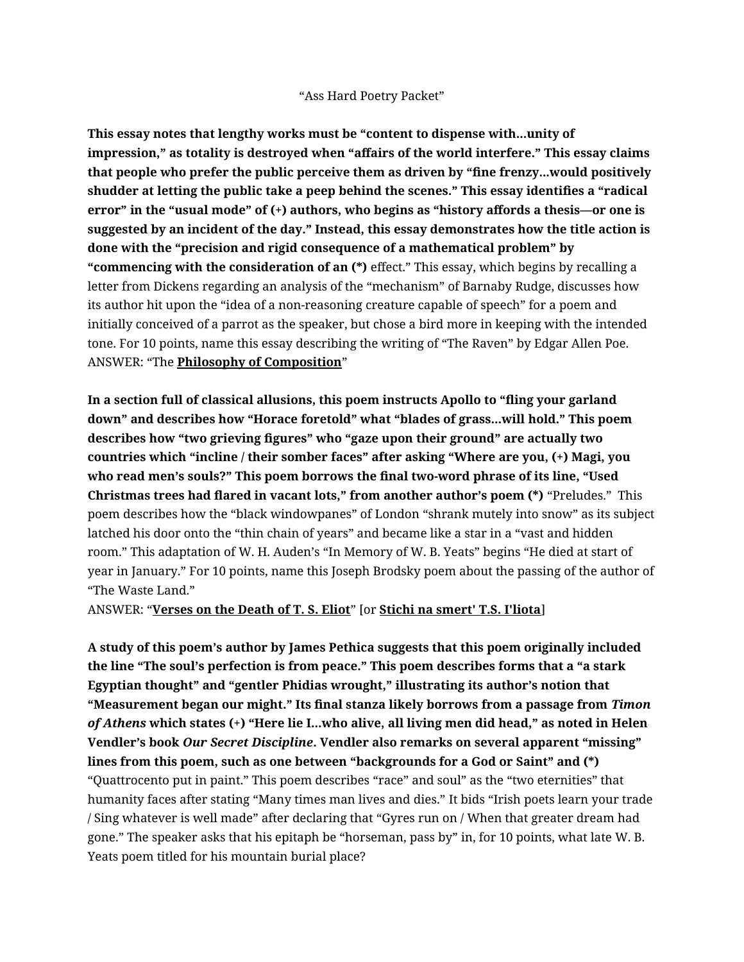"Ass Hard Poetry Packet"

**This essay notes that lengthy works must be "content to dispense with...unity of impression," as totality is destroyed when "affairs of the world interfere." This essay claims that people who prefer the public perceive them as driven by "fine frenzy...would positively shudder at letting the public take a peep behind the scenes." This essay identifies a "radical error" in the "usual mode" of (+) authors, who begins as "history affords a thesis—or one is suggested by an incident of the day." Instead, this essay demonstrates how the title action is done with the "precision and rigid consequence of a mathematical problem" by "commencing with the consideration of an (\*)** effect." This essay, which begins by recalling a letter from Dickens regarding an analysis of the "mechanism" of Barnaby Rudge, discusses how its author hit upon the "idea of a non-reasoning creature capable of speech" for a poem and initially conceived of a parrot as the speaker, but chose a bird more in keeping with the intended tone. For 10 points, name this essay describing the writing of "The Raven" by Edgar Allen Poe. ANSWER: "The **Philosophy of Composition**"

**In a section full of classical allusions, this poem instructs Apollo to "fling your garland down" and describes how "Horace foretold" what "blades of grass...will hold." This poem describes how "two grieving figures" who "gaze upon their ground" are actually two countries which "incline / their somber faces" after asking "Where are you, (+) Magi, you who read men's souls?" This poem borrows the final two-word phrase of its line, "Used Christmas trees had flared in vacant lots," from another author's poem (\*)** "Preludes." This poem describes how the "black windowpanes" of London "shrank mutely into snow" as its subject latched his door onto the "thin chain of years" and became like a star in a "vast and hidden room." This adaptation of W. H. Auden's "In Memory of W. B. Yeats" begins "He died at start of year in January." For 10 points, name this Joseph Brodsky poem about the passing of the author of "The Waste Land."

ANSWER: "**Verses on the Death of T. S. Eliot**" [or **Stichi na smert' T.S. I'liota**]

**A study of this poem's author by James Pethica suggests that this poem originally included the line "The soul's perfection is from peace." This poem describes forms that a "a stark Egyptian thought" and "gentler Phidias wrought," illustrating its author's notion that "Measurement began our might." Its final stanza likely borrows from a passage from** *Timon of Athens* **which states (+) "Here lie I...who alive, all living men did head," as noted in Helen Vendler's book** *Our Secret Discipline***. Vendler also remarks on several apparent "missing" lines from this poem, such as one between "backgrounds for a God or Saint" and (\*)**  "Quattrocento put in paint." This poem describes "race" and soul" as the "two eternities" that humanity faces after stating "Many times man lives and dies." It bids "Irish poets learn your trade / Sing whatever is well made" after declaring that "Gyres run on / When that greater dream had gone." The speaker asks that his epitaph be "horseman, pass by" in, for 10 points, what late W. B. Yeats poem titled for his mountain burial place?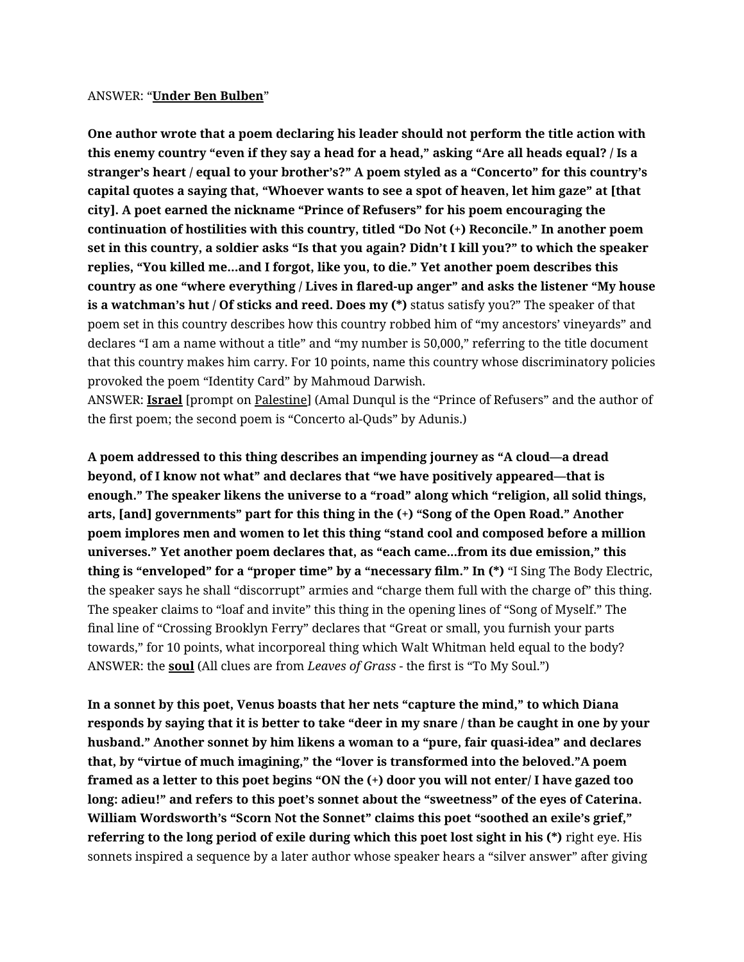## ANSWER: "**Under Ben Bulben**"

**One author wrote that a poem declaring his leader should not perform the title action with this enemy country "even if they say a head for a head," asking "Are all heads equal? / Is a stranger's heart / equal to your brother's?" A poem styled as a "Concerto" for this country's capital quotes a saying that, "Whoever wants to see a spot of heaven, let him gaze" at [that city]. A poet earned the nickname "Prince of Refusers" for his poem encouraging the continuation of hostilities with this country, titled "Do Not (+) Reconcile." In another poem set in this country, a soldier asks "Is that you again? Didn't I kill you?" to which the speaker replies, "You killed me…and I forgot, like you, to die." Yet another poem describes this country as one "where everything / Lives in flared-up anger" and asks the listener "My house is a watchman's hut / Of sticks and reed. Does my (\*)** status satisfy you?" The speaker of that poem set in this country describes how this country robbed him of "my ancestors' vineyards" and declares "I am a name without a title" and "my number is 50,000," referring to the title document that this country makes him carry. For 10 points, name this country whose discriminatory policies provoked the poem "Identity Card" by Mahmoud Darwish.

ANSWER: **Israel** [prompt on Palestine] (Amal Dunqul is the "Prince of Refusers" and the author of the first poem; the second poem is "Concerto al-Quds" by Adunis.)

**A poem addressed to this thing describes an impending journey as "A cloud—a dread beyond, of I know not what" and declares that "we have positively appeared—that is enough." The speaker likens the universe to a "road" along which "religion, all solid things, arts, [and] governments" part for this thing in the (+) "Song of the Open Road." Another poem implores men and women to let this thing "stand cool and composed before a million universes." Yet another poem declares that, as "each came...from its due emission," this thing is "enveloped" for a "proper time" by a "necessary film." In (\*)** "I Sing The Body Electric, the speaker says he shall "discorrupt" armies and "charge them full with the charge of" this thing. The speaker claims to "loaf and invite" this thing in the opening lines of "Song of Myself." The final line of "Crossing Brooklyn Ferry" declares that "Great or small, you furnish your parts towards," for 10 points, what incorporeal thing which Walt Whitman held equal to the body? ANSWER: the **soul** (All clues are from *Leaves of Grass* - the first is "To My Soul.")

**In a sonnet by this poet, Venus boasts that her nets "capture the mind," to which Diana responds by saying that it is better to take "deer in my snare / than be caught in one by your husband." Another sonnet by him likens a woman to a "pure, fair quasi-idea" and declares that, by "virtue of much imagining," the "lover is transformed into the beloved."A poem framed as a letter to this poet begins "ON the (+) door you will not enter/ I have gazed too long: adieu!" and refers to this poet's sonnet about the "sweetness" of the eyes of Caterina. William Wordsworth's "Scorn Not the Sonnet" claims this poet "soothed an exile's grief," referring to the long period of exile during which this poet lost sight in his (\*)** right eye. His sonnets inspired a sequence by a later author whose speaker hears a "silver answer" after giving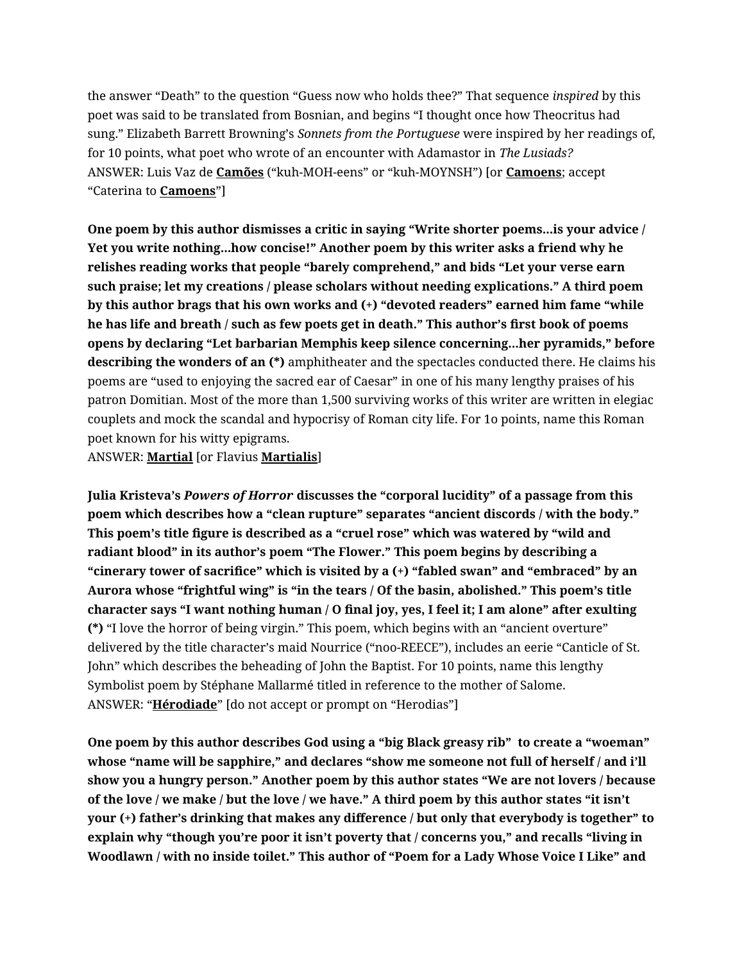the answer "Death" to the question "Guess now who holds thee?" That sequence *inspired* by this poet was said to be translated from Bosnian, and begins "I thought once how Theocritus had sung." Elizabeth Barrett Browning's *Sonnets from the Portuguese* were inspired by her readings of, for 10 points, what poet who wrote of an encounter with Adamastor in *The Lusiads?* ANSWER: Luis Vaz de **Camões** ("kuh-MOH-eens" or "kuh-MOYNSH") [or **Camoens**; accept "Caterina to **Camoens**"]

**One poem by this author dismisses a critic in saying "Write shorter poems...is your advice / Yet you write nothing...how concise!" Another poem by this writer asks a friend why he relishes reading works that people "barely comprehend," and bids "Let your verse earn such praise; let my creations / please scholars without needing explications." A third poem by this author brags that his own works and (+) "devoted readers" earned him fame "while he has life and breath / such as few poets get in death." This author's first book of poems opens by declaring "Let barbarian Memphis keep silence concerning...her pyramids," before describing the wonders of an (\*)** amphitheater and the spectacles conducted there. He claims his poems are "used to enjoying the sacred ear of Caesar" in one of his many lengthy praises of his patron Domitian. Most of the more than 1,500 surviving works of this writer are written in elegiac couplets and mock the scandal and hypocrisy of Roman city life. For 1o points, name this Roman poet known for his witty epigrams.

ANSWER: **Martial** [or Flavius **Martialis**]

**Julia Kristeva's** *Powers of Horror* **discusses the "corporal lucidity" of a passage from this poem which describes how a "clean rupture" separates "ancient discords / with the body." This poem's title figure is described as a "cruel rose" which was watered by "wild and radiant blood" in its author's poem "The Flower." This poem begins by describing a "cinerary tower of sacrifice" which is visited by a (+) "fabled swan" and "embraced" by an Aurora whose "frightful wing" is "in the tears / Of the basin, abolished." This poem's title character says "I want nothing human / O final joy, yes, I feel it; I am alone" after exulting (\*)** "I love the horror of being virgin." This poem, which begins with an "ancient overture" delivered by the title character's maid Nourrice ("noo-REECE"), includes an eerie "Canticle of St. John" which describes the beheading of John the Baptist. For 10 points, name this lengthy Symbolist poem by Stéphane Mallarmé titled in reference to the mother of Salome. ANSWER: "**Hérodiade**" [do not accept or prompt on "Herodias"]

**One poem by this author describes God using a "big Black greasy rib" to create a "woeman" whose "name will be sapphire," and declares "show me someone not full of herself / and i'll show you a hungry person." Another poem by this author states "We are not lovers / because of the love / we make / but the love / we have." A third poem by this author states "it isn't your (+) father's drinking that makes any difference / but only that everybody is together" to explain why "though you're poor it isn't poverty that / concerns you," and recalls "living in Woodlawn / with no inside toilet." This author of "Poem for a Lady Whose Voice I Like" and**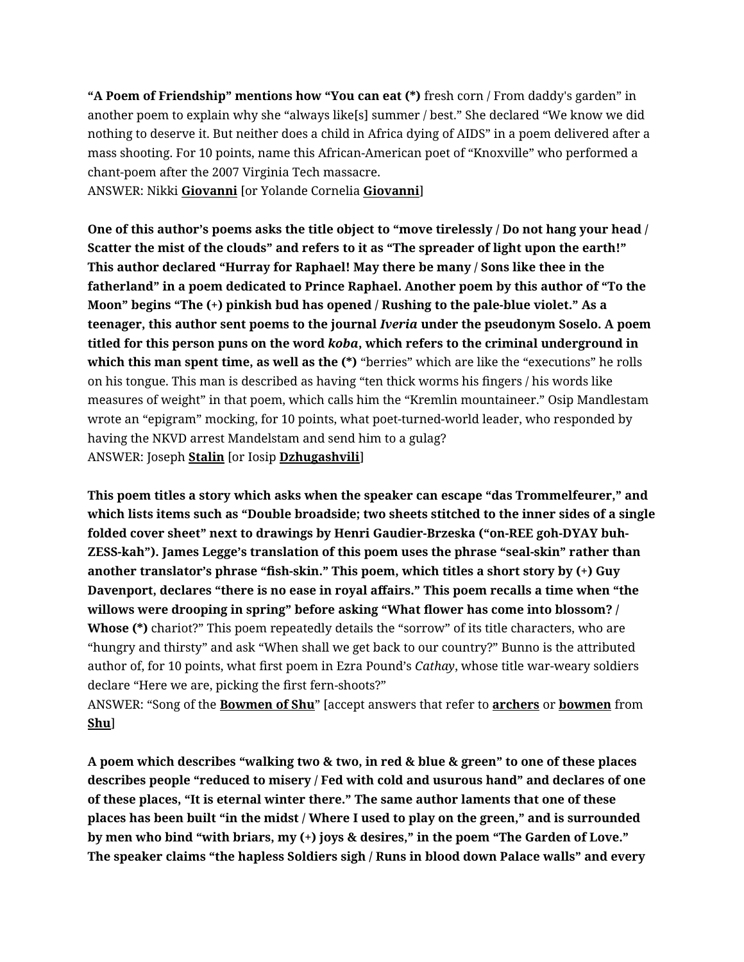**"A Poem of Friendship" mentions how "You can eat (\*)** fresh corn / From daddy's garden" in another poem to explain why she "always like[s] summer / best." She declared "We know we did nothing to deserve it. But neither does a child in Africa dying of AIDS" in a poem delivered after a mass shooting. For 10 points, name this African-American poet of "Knoxville" who performed a chant-poem after the 2007 Virginia Tech massacre.

ANSWER: Nikki **Giovanni** [or Yolande Cornelia **Giovanni**]

**One of this author's poems asks the title object to "move tirelessly / Do not hang your head / Scatter the mist of the clouds" and refers to it as "The spreader of light upon the earth!" This author declared "Hurray for Raphael! May there be many / Sons like thee in the fatherland" in a poem dedicated to Prince Raphael. Another poem by this author of "To the Moon" begins "The (+) pinkish bud has opened / Rushing to the pale-blue violet." As a teenager, this author sent poems to the journal** *Iveria* **under the pseudonym Soselo. A poem titled for this person puns on the word** *koba***, which refers to the criminal underground in which this man spent time, as well as the (\*)** "berries" which are like the "executions" he rolls on his tongue. This man is described as having "ten thick worms his fingers / his words like measures of weight" in that poem, which calls him the "Kremlin mountaineer." Osip Mandlestam wrote an "epigram" mocking, for 10 points, what poet-turned-world leader, who responded by having the NKVD arrest Mandelstam and send him to a gulag? ANSWER: Joseph **Stalin** [or Iosip **Dzhugashvili**]

**This poem titles a story which asks when the speaker can escape "das Trommelfeurer," and which lists items such as "Double broadside; two sheets stitched to the inner sides of a single folded cover sheet" next to drawings by Henri Gaudier-Brzeska ("on-REE goh-DYAY buh-ZESS-kah"). James Legge's translation of this poem uses the phrase "seal-skin" rather than another translator's phrase "fish-skin." This poem, which titles a short story by (+) Guy Davenport, declares "there is no ease in royal affairs." This poem recalls a time when "the willows were drooping in spring" before asking "What flower has come into blossom? / Whose (\*)** chariot?" This poem repeatedly details the "sorrow" of its title characters, who are "hungry and thirsty" and ask "When shall we get back to our country?" Bunno is the attributed author of, for 10 points, what first poem in Ezra Pound's *Cathay*, whose title war-weary soldiers declare "Here we are, picking the first fern-shoots?"

ANSWER: "Song of the **Bowmen of Shu**" [accept answers that refer to **archers** or **bowmen** from **Shu**]

**A poem which describes "walking two & two, in red & blue & green" to one of these places describes people "reduced to misery / Fed with cold and usurous hand" and declares of one of these places, "It is eternal winter there." The same author laments that one of these places has been built "in the midst / Where I used to play on the green," and is surrounded by men who bind "with briars, my (+) joys & desires," in the poem "The Garden of Love." The speaker claims "the hapless Soldiers sigh / Runs in blood down Palace walls" and every**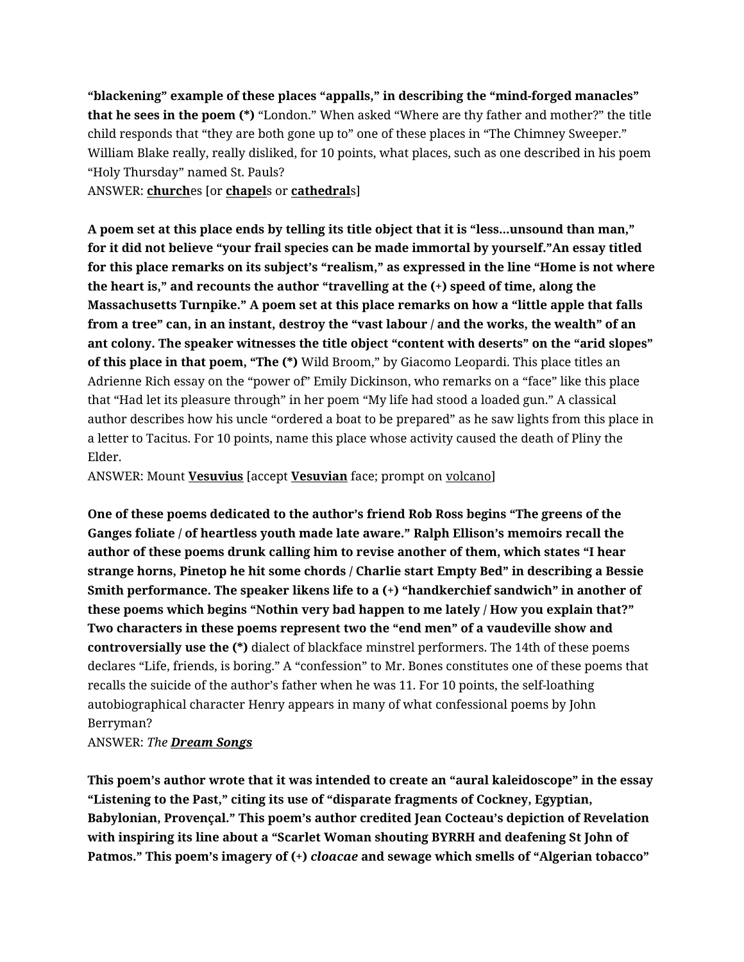**"blackening" example of these places "appalls," in describing the "mind-forged manacles" that he sees in the poem (\*)** "London." When asked "Where are thy father and mother?" the title child responds that "they are both gone up to" one of these places in "The Chimney Sweeper." William Blake really, really disliked, for 10 points, what places, such as one described in his poem "Holy Thursday" named St. Pauls?

ANSWER: **church**es [or **chapel**s or **cathedral**s]

**A poem set at this place ends by telling its title object that it is "less...unsound than man," for it did not believe "your frail species can be made immortal by yourself."An essay titled for this place remarks on its subject's "realism," as expressed in the line "Home is not where the heart is," and recounts the author "travelling at the (+) speed of time, along the Massachusetts Turnpike." A poem set at this place remarks on how a "little apple that falls from a tree" can, in an instant, destroy the "vast labour / and the works, the wealth" of an ant colony. The speaker witnesses the title object "content with deserts" on the "arid slopes" of this place in that poem, "The (\*)** Wild Broom," by Giacomo Leopardi. This place titles an Adrienne Rich essay on the "power of" Emily Dickinson, who remarks on a "face" like this place that "Had let its pleasure through" in her poem "My life had stood a loaded gun." A classical author describes how his uncle "ordered a boat to be prepared" as he saw lights from this place in a letter to Tacitus. For 10 points, name this place whose activity caused the death of Pliny the Elder.

ANSWER: Mount **Vesuvius** [accept **Vesuvian** face; prompt on volcano]

**One of these poems dedicated to the author's friend Rob Ross begins "The greens of the Ganges foliate / of heartless youth made late aware." Ralph Ellison's memoirs recall the author of these poems drunk calling him to revise another of them, which states "I hear strange horns, Pinetop he hit some chords / Charlie start Empty Bed" in describing a Bessie Smith performance. The speaker likens life to a (+) "handkerchief sandwich" in another of these poems which begins "Nothin very bad happen to me lately / How you explain that?" Two characters in these poems represent two the "end men" of a vaudeville show and controversially use the (\*)** dialect of blackface minstrel performers. The 14th of these poems declares "Life, friends, is boring." A "confession" to Mr. Bones constitutes one of these poems that recalls the suicide of the author's father when he was 11. For 10 points, the self-loathing autobiographical character Henry appears in many of what confessional poems by John Berryman?

## ANSWER: *The Dream Songs*

**This poem's author wrote that it was intended to create an "aural kaleidoscope" in the essay "Listening to the Past," citing its use of "disparate fragments of Cockney, Egyptian, Babylonian, Provençal." This poem's author credited Jean Cocteau's depiction of Revelation with inspiring its line about a "Scarlet Woman shouting BYRRH and deafening St John of Patmos." This poem's imagery of (+)** *cloacae* **and sewage which smells of "Algerian tobacco"**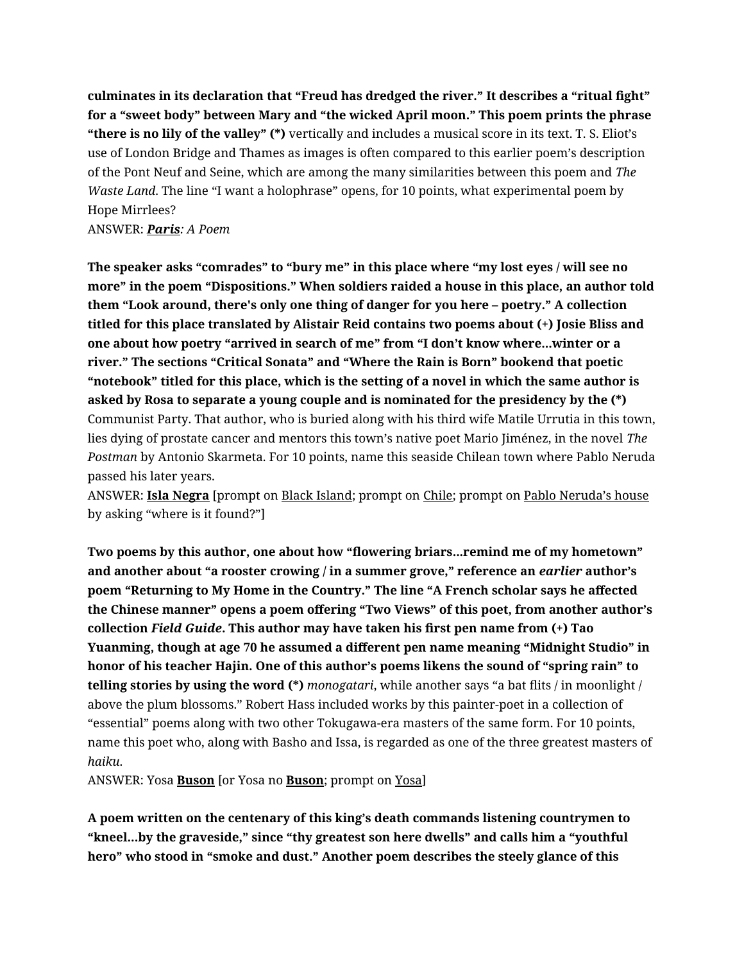**culminates in its declaration that "Freud has dredged the river." It describes a "ritual fight" for a "sweet body" between Mary and "the wicked April moon." This poem prints the phrase "there is no lily of the valley" (\*)** vertically and includes a musical score in its text. T. S. Eliot's use of London Bridge and Thames as images is often compared to this earlier poem's description of the Pont Neuf and Seine, which are among the many similarities between this poem and *The Waste Land*. The line "I want a holophrase" opens, for 10 points, what experimental poem by Hope Mirrlees?

ANSWER: *Paris: A Poem*

**The speaker asks "comrades" to "bury me" in this place where "my lost eyes / will see no more" in the poem "Dispositions." When soldiers raided a house in this place, an author told them "Look around, there's only one thing of danger for you here – poetry." A collection titled for this place translated by Alistair Reid contains two poems about (+) Josie Bliss and one about how poetry "arrived in search of me" from "I don't know where...winter or a river." The sections "Critical Sonata" and "Where the Rain is Born" bookend that poetic "notebook" titled for this place, which is the setting of a novel in which the same author is asked by Rosa to separate a young couple and is nominated for the presidency by the (\*)**  Communist Party. That author, who is buried along with his third wife Matile Urrutia in this town, lies dying of prostate cancer and mentors this town's native poet Mario Jiménez, in the novel *The Postman* by Antonio Skarmeta. For 10 points, name this seaside Chilean town where Pablo Neruda passed his later years.

ANSWER: **Isla Negra** [prompt on Black Island; prompt on Chile; prompt on Pablo Neruda's house by asking "where is it found?"]

**Two poems by this author, one about how "flowering briars...remind me of my hometown" and another about "a rooster crowing / in a summer grove," reference an** *earlier* **author's poem "Returning to My Home in the Country." The line "A French scholar says he affected the Chinese manner" opens a poem offering "Two Views" of this poet, from another author's collection** *Field Guide***. This author may have taken his first pen name from (+) Tao Yuanming, though at age 70 he assumed a different pen name meaning "Midnight Studio" in honor of his teacher Hajin. One of this author's poems likens the sound of "spring rain" to telling stories by using the word (\*)** *monogatari*, while another says "a bat flits / in moonlight / above the plum blossoms." Robert Hass included works by this painter-poet in a collection of "essential" poems along with two other Tokugawa-era masters of the same form. For 10 points, name this poet who, along with Basho and Issa, is regarded as one of the three greatest masters of *haiku*.

ANSWER: Yosa **Buson** [or Yosa no **Buson**; prompt on Yosa]

**A poem written on the centenary of this king's death commands listening countrymen to "kneel...by the graveside," since "thy greatest son here dwells" and calls him a "youthful hero" who stood in "smoke and dust." Another poem describes the steely glance of this**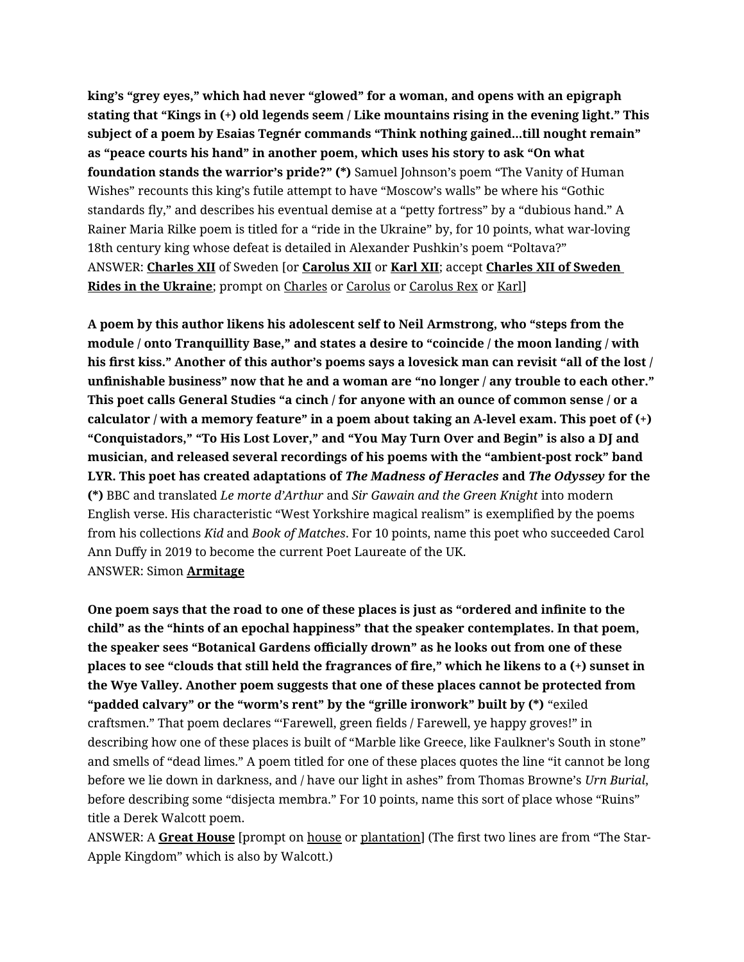**king's "grey eyes," which had never "glowed" for a woman, and opens with an epigraph stating that "Kings in (+) old legends seem / Like mountains rising in the evening light." This subject of a poem by Esaias Tegnér commands "Think nothing gained...till nought remain" as "peace courts his hand" in another poem, which uses his story to ask "On what foundation stands the warrior's pride?" (\*)** Samuel Johnson's poem "The Vanity of Human Wishes" recounts this king's futile attempt to have "Moscow's walls" be where his "Gothic standards fly," and describes his eventual demise at a "petty fortress" by a "dubious hand." A Rainer Maria Rilke poem is titled for a "ride in the Ukraine" by, for 10 points, what war-loving 18th century king whose defeat is detailed in Alexander Pushkin's poem "Poltava?" ANSWER: **Charles XII** of Sweden [or **Carolus XII** or **Karl XII**; accept **Charles XII of Sweden**  Rides in the Ukraine; prompt on Charles or Carolus or Carolus Rex or Karl]

**A poem by this author likens his adolescent self to Neil Armstrong, who "steps from the module / onto Tranquillity Base," and states a desire to "coincide / the moon landing / with his first kiss." Another of this author's poems says a lovesick man can revisit "all of the lost / unfinishable business" now that he and a woman are "no longer / any trouble to each other." This poet calls General Studies "a cinch / for anyone with an ounce of common sense / or a calculator / with a memory feature" in a poem about taking an A-level exam. This poet of (+) "Conquistadors," "To His Lost Lover," and "You May Turn Over and Begin" is also a DJ and musician, and released several recordings of his poems with the "ambient-post rock" band LYR. This poet has created adaptations of** *The Madness of Heracles* **and** *The Odyssey* **for the (\*)** BBC and translated *Le morte d'Arthur* and *Sir Gawain and the Green Knight* into modern English verse. His characteristic "West Yorkshire magical realism" is exemplified by the poems from his collections *Kid* and *Book of Matches*. For 10 points, name this poet who succeeded Carol Ann Duffy in 2019 to become the current Poet Laureate of the UK. ANSWER: Simon **Armitage**

**One poem says that the road to one of these places is just as "ordered and infinite to the child" as the "hints of an epochal happiness" that the speaker contemplates. In that poem, the speaker sees "Botanical Gardens officially drown" as he looks out from one of these places to see "clouds that still held the fragrances of fire," which he likens to a (+) sunset in the Wye Valley. Another poem suggests that one of these places cannot be protected from "padded calvary" or the "worm's rent" by the "grille ironwork" built by (\*)** "exiled craftsmen." That poem declares "'Farewell, green fields / Farewell, ye happy groves!" in describing how one of these places is built of "Marble like Greece, like Faulkner's South in stone" and smells of "dead limes." A poem titled for one of these places quotes the line "it cannot be long before we lie down in darkness, and / have our light in ashes" from Thomas Browne's *Urn Burial*, before describing some "disjecta membra." For 10 points, name this sort of place whose "Ruins" title a Derek Walcott poem.

ANSWER: A **Great House** [prompt on house or plantation] (The first two lines are from "The Star-Apple Kingdom" which is also by Walcott.)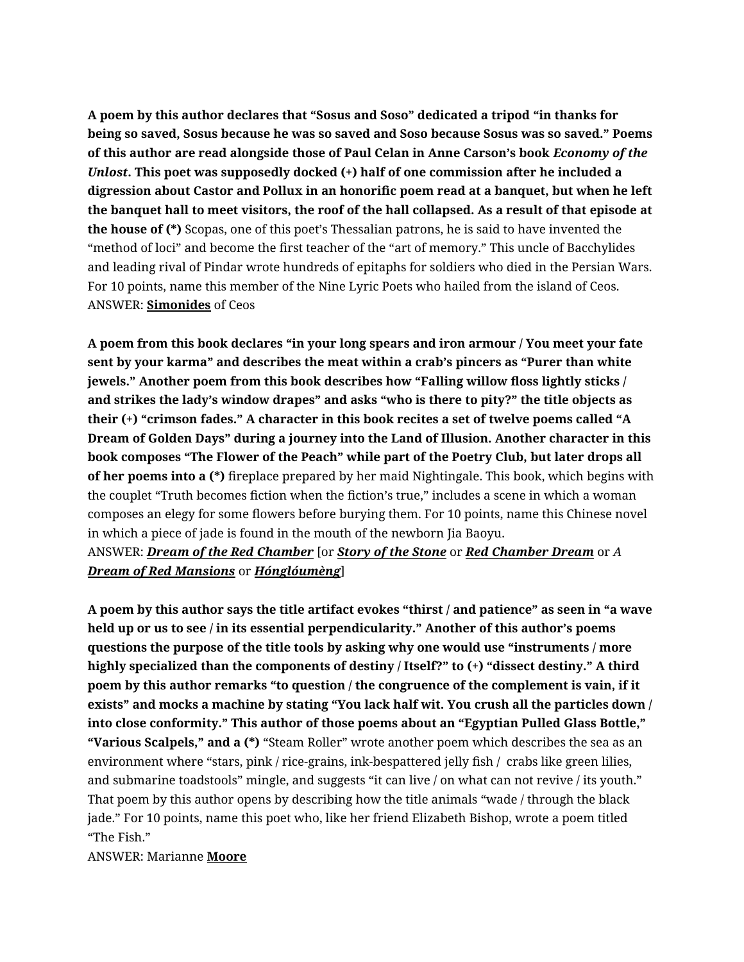**A poem by this author declares that "Sosus and Soso" dedicated a tripod "in thanks for being so saved, Sosus because he was so saved and Soso because Sosus was so saved." Poems of this author are read alongside those of Paul Celan in Anne Carson's book** *Economy of the Unlost***. This poet was supposedly docked (+) half of one commission after he included a digression about Castor and Pollux in an honorific poem read at a banquet, but when he left the banquet hall to meet visitors, the roof of the hall collapsed. As a result of that episode at the house of (\*)** Scopas, one of this poet's Thessalian patrons, he is said to have invented the "method of loci" and become the first teacher of the "art of memory." This uncle of Bacchylides and leading rival of Pindar wrote hundreds of epitaphs for soldiers who died in the Persian Wars. For 10 points, name this member of the Nine Lyric Poets who hailed from the island of Ceos. ANSWER: **Simonides** of Ceos

**A poem from this book declares "in your long spears and iron armour / You meet your fate sent by your karma" and describes the meat within a crab's pincers as "Purer than white jewels." Another poem from this book describes how "Falling willow floss lightly sticks / and strikes the lady's window drapes" and asks "who is there to pity?" the title objects as their (+) "crimson fades." A character in this book recites a set of twelve poems called "A Dream of Golden Days" during a journey into the Land of Illusion. Another character in this book composes "The Flower of the Peach" while part of the Poetry Club, but later drops all of her poems into a (\*)** fireplace prepared by her maid Nightingale. This book, which begins with the couplet "Truth becomes fiction when the fiction's true," includes a scene in which a woman composes an elegy for some flowers before burying them. For 10 points, name this Chinese novel in which a piece of jade is found in the mouth of the newborn Jia Baoyu.

ANSWER: *Dream of the Red Chamber* [or *Story of the Stone* or *Red Chamber Dream* or *A Dream of Red Mansions* or *Hónglóumèng*]

**A poem by this author says the title artifact evokes "thirst / and patience" as seen in "a wave held up or us to see / in its essential perpendicularity." Another of this author's poems questions the purpose of the title tools by asking why one would use "instruments / more highly specialized than the components of destiny / Itself?" to (+) "dissect destiny." A third poem by this author remarks "to question / the congruence of the complement is vain, if it exists" and mocks a machine by stating "You lack half wit. You crush all the particles down / into close conformity." This author of those poems about an "Egyptian Pulled Glass Bottle," "Various Scalpels," and a (\*)** "Steam Roller" wrote another poem which describes the sea as an environment where "stars, pink / rice-grains, ink-bespattered jelly fish / crabs like green lilies, and submarine toadstools" mingle, and suggests "it can live / on what can not revive / its youth." That poem by this author opens by describing how the title animals "wade / through the black jade." For 10 points, name this poet who, like her friend Elizabeth Bishop, wrote a poem titled "The Fish."

## ANSWER: Marianne **Moore**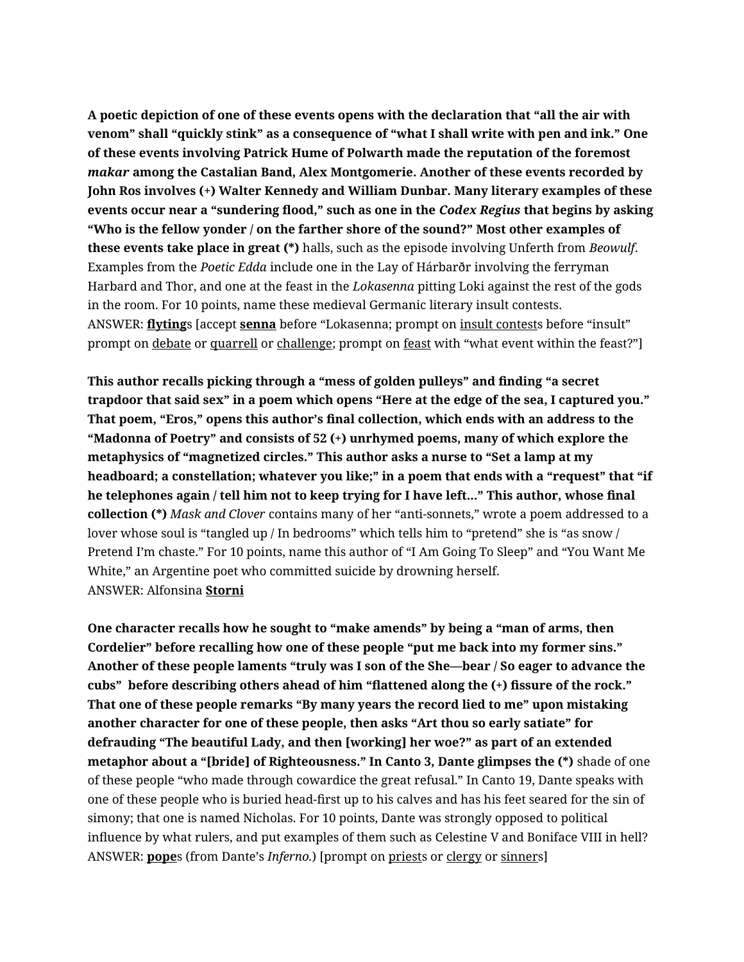**A poetic depiction of one of these events opens with the declaration that "all the air with venom" shall "quickly stink" as a consequence of "what I shall write with pen and ink." One of these events involving Patrick Hume of Polwarth made the reputation of the foremost**  *makar* **among the Castalian Band, Alex Montgomerie. Another of these events recorded by John Ros involves (+) Walter Kennedy and William Dunbar. Many literary examples of these events occur near a "sundering flood," such as one in the** *Codex Regius* **that begins by asking "Who is the fellow yonder / on the farther shore of the sound?" Most other examples of these events take place in great (\*)** halls, such as the episode involving Unferth from *Beowulf*. Examples from the *Poetic Edda* include one in the Lay of Hárbarðr involving the ferryman Harbard and Thor, and one at the feast in the *Lokasenna* pitting Loki against the rest of the gods in the room. For 10 points, name these medieval Germanic literary insult contests. ANSWER: **flyting**s [accept **senna** before "Lokasenna; prompt on insult contests before "insult" prompt on debate or quarrell or challenge; prompt on feast with "what event within the feast?"]

**This author recalls picking through a "mess of golden pulleys" and finding "a secret trapdoor that said sex" in a poem which opens "Here at the edge of the sea, I captured you." That poem, "Eros," opens this author's final collection, which ends with an address to the "Madonna of Poetry" and consists of 52 (+) unrhymed poems, many of which explore the metaphysics of "magnetized circles." This author asks a nurse to "Set a lamp at my headboard; a constellation; whatever you like;" in a poem that ends with a "request" that "if he telephones again / tell him not to keep trying for I have left..." This author, whose final collection (\*)** *Mask and Clover* contains many of her "anti-sonnets," wrote a poem addressed to a lover whose soul is "tangled up / In bedrooms" which tells him to "pretend" she is "as snow / Pretend I'm chaste." For 10 points, name this author of "I Am Going To Sleep" and "You Want Me White," an Argentine poet who committed suicide by drowning herself. ANSWER: Alfonsina **Storni**

**One character recalls how he sought to "make amends" by being a "man of arms, then Cordelier" before recalling how one of these people "put me back into my former sins." Another of these people laments "truly was I son of the She—bear / So eager to advance the cubs" before describing others ahead of him "flattened along the (+) fissure of the rock." That one of these people remarks "By many years the record lied to me" upon mistaking another character for one of these people, then asks "Art thou so early satiate" for defrauding "The beautiful Lady, and then [working] her woe?" as part of an extended metaphor about a "[bride] of Righteousness." In Canto 3, Dante glimpses the (\*)** shade of one of these people "who made through cowardice the great refusal." In Canto 19, Dante speaks with one of these people who is buried head-first up to his calves and has his feet seared for the sin of simony; that one is named Nicholas. For 10 points, Dante was strongly opposed to political influence by what rulers, and put examples of them such as Celestine V and Boniface VIII in hell? ANSWER: **pope**s (from Dante's *Inferno.*) [prompt on priests or clergy or sinners]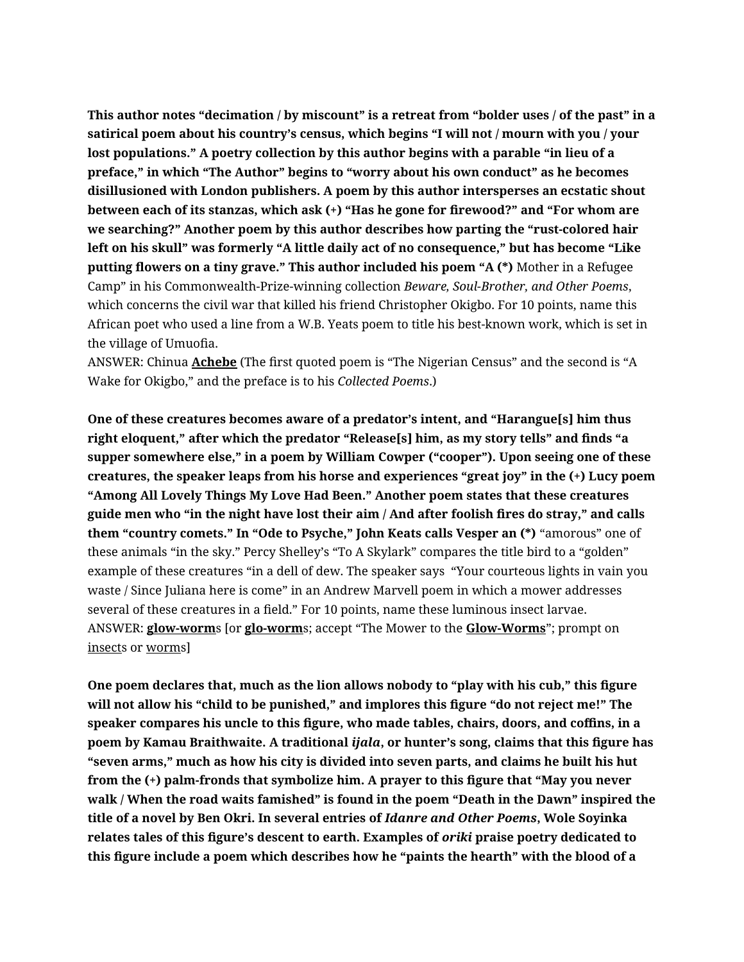**This author notes "decimation / by miscount" is a retreat from "bolder uses / of the past" in a satirical poem about his country's census, which begins "I will not / mourn with you / your lost populations." A poetry collection by this author begins with a parable "in lieu of a preface," in which "The Author" begins to "worry about his own conduct" as he becomes disillusioned with London publishers. A poem by this author intersperses an ecstatic shout between each of its stanzas, which ask (+) "Has he gone for firewood?" and "For whom are we searching?" Another poem by this author describes how parting the "rust-colored hair left on his skull" was formerly "A little daily act of no consequence," but has become "Like putting flowers on a tiny grave." This author included his poem "A (\*)** Mother in a Refugee Camp" in his Commonwealth-Prize-winning collection *Beware, Soul-Brother, and Other Poems*, which concerns the civil war that killed his friend Christopher Okigbo. For 10 points, name this African poet who used a line from a W.B. Yeats poem to title his best-known work, which is set in the village of Umuofia.

ANSWER: Chinua **Achebe** (The first quoted poem is "The Nigerian Census" and the second is "A Wake for Okigbo," and the preface is to his *Collected Poems*.)

**One of these creatures becomes aware of a predator's intent, and "Harangue[s] him thus right eloquent," after which the predator "Release[s] him, as my story tells" and finds "a supper somewhere else," in a poem by William Cowper ("cooper"). Upon seeing one of these creatures, the speaker leaps from his horse and experiences "great joy" in the (+) Lucy poem "Among All Lovely Things My Love Had Been." Another poem states that these creatures guide men who "in the night have lost their aim / And after foolish fires do stray," and calls them "country comets." In "Ode to Psyche," John Keats calls Vesper an (\*)** "amorous" one of these animals "in the sky." Percy Shelley's "To A Skylark" compares the title bird to a "golden" example of these creatures "in a dell of dew. The speaker says "Your courteous lights in vain you waste / Since Juliana here is come" in an Andrew Marvell poem in which a mower addresses several of these creatures in a field." For 10 points, name these luminous insect larvae. ANSWER: **glow-worm**s [or **glo-worm**s; accept "The Mower to the **Glow-Worms**"; prompt on insects or worms]

**One poem declares that, much as the lion allows nobody to "play with his cub," this figure will not allow his "child to be punished," and implores this figure "do not reject me!" The speaker compares his uncle to this figure, who made tables, chairs, doors, and coffins, in a poem by Kamau Braithwaite. A traditional** *ijala***, or hunter's song, claims that this figure has "seven arms," much as how his city is divided into seven parts, and claims he built his hut from the (+) palm-fronds that symbolize him. A prayer to this figure that "May you never walk / When the road waits famished" is found in the poem "Death in the Dawn" inspired the title of a novel by Ben Okri. In several entries of** *Idanre and Other Poems***, Wole Soyinka relates tales of this figure's descent to earth. Examples of** *oriki* **praise poetry dedicated to this figure include a poem which describes how he "paints the hearth" with the blood of a**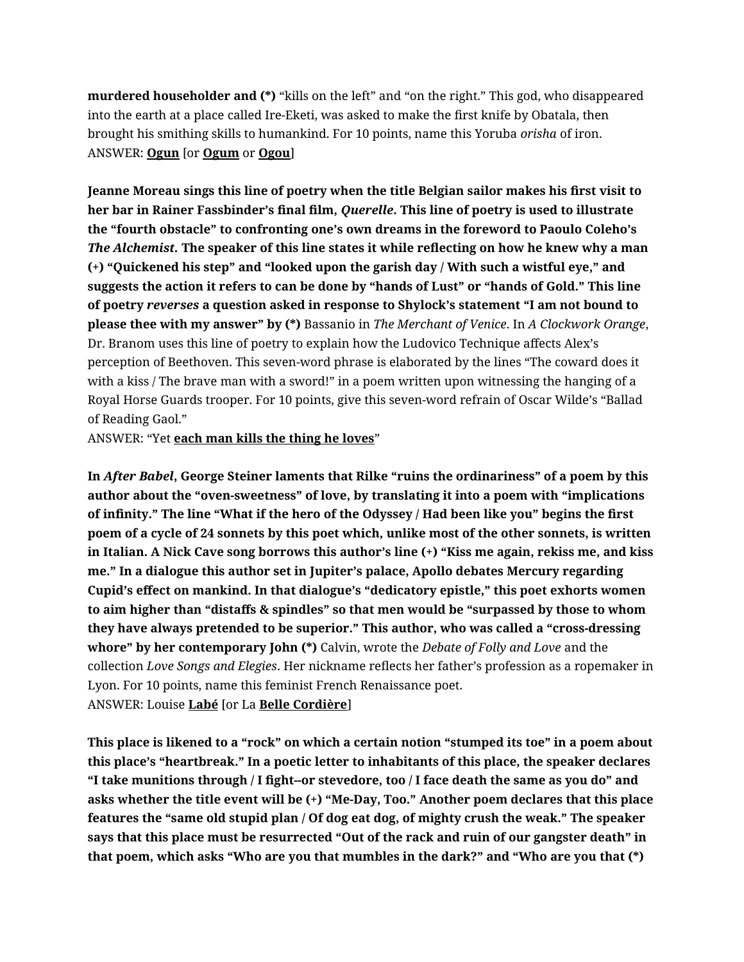**murdered householder and (\*)** "kills on the left" and "on the right." This god, who disappeared into the earth at a place called Ire-Eketi, was asked to make the first knife by Obatala, then brought his smithing skills to humankind. For 10 points, name this Yoruba *orisha* of iron. ANSWER: **Ogun** [or **Ogum** or **Ogou**]

**Jeanne Moreau sings this line of poetry when the title Belgian sailor makes his first visit to her bar in Rainer Fassbinder's final film,** *Querelle***. This line of poetry is used to illustrate the "fourth obstacle" to confronting one's own dreams in the foreword to Paoulo Coleho's**  *The Alchemist.* **The speaker of this line states it while reflecting on how he knew why a man (+) "Quickened his step" and "looked upon the garish day / With such a wistful eye," and suggests the action it refers to can be done by "hands of Lust" or "hands of Gold." This line of poetry** *reverses* **a question asked in response to Shylock's statement "I am not bound to please thee with my answer" by (\*)** Bassanio in *The Merchant of Venice*. In *A Clockwork Orange*, Dr. Branom uses this line of poetry to explain how the Ludovico Technique affects Alex's perception of Beethoven. This seven-word phrase is elaborated by the lines "The coward does it with a kiss / The brave man with a sword!" in a poem written upon witnessing the hanging of a Royal Horse Guards trooper. For 10 points, give this seven-word refrain of Oscar Wilde's "Ballad of Reading Gaol."

ANSWER: "Yet **each man kills the thing he loves**"

**In** *After Babel***, George Steiner laments that Rilke "ruins the ordinariness" of a poem by this author about the "oven-sweetness" of love, by translating it into a poem with "implications of infinity." The line "What if the hero of the Odyssey / Had been like you" begins the first poem of a cycle of 24 sonnets by this poet which, unlike most of the other sonnets, is written in Italian. A Nick Cave song borrows this author's line (+) "Kiss me again, rekiss me, and kiss me." In a dialogue this author set in Jupiter's palace, Apollo debates Mercury regarding Cupid's effect on mankind. In that dialogue's "dedicatory epistle," this poet exhorts women to aim higher than "distaffs & spindles" so that men would be "surpassed by those to whom they have always pretended to be superior." This author, who was called a "cross-dressing whore" by her contemporary John (\*)** Calvin, wrote the *Debate of Folly and Love* and the collection *Love Songs and Elegies*. Her nickname reflects her father's profession as a ropemaker in Lyon. For 10 points, name this feminist French Renaissance poet. ANSWER: Louise **Labé** [or La **Belle Cordière**]

**This place is likened to a "rock" on which a certain notion "stumped its toe" in a poem about this place's "heartbreak." In a poetic letter to inhabitants of this place, the speaker declares "I take munitions through / I fight--or stevedore, too / I face death the same as you do" and asks whether the title event will be (+) "Me-Day, Too." Another poem declares that this place features the "same old stupid plan / Of dog eat dog, of mighty crush the weak." The speaker says that this place must be resurrected "Out of the rack and ruin of our gangster death" in that poem, which asks "Who are you that mumbles in the dark?" and "Who are you that (\*)**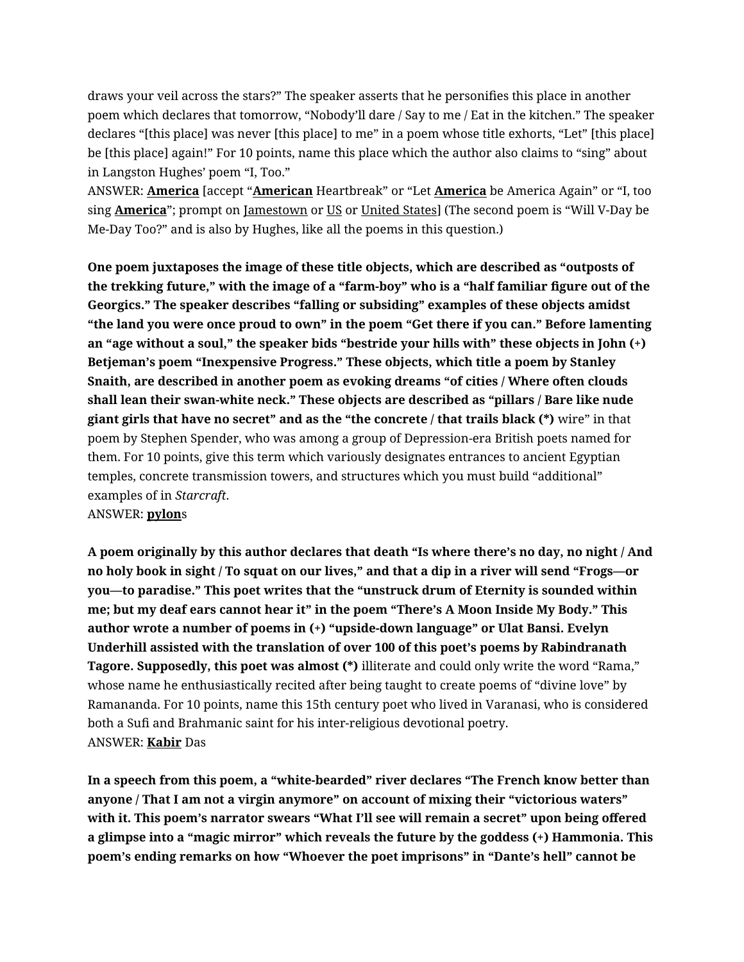draws your veil across the stars?" The speaker asserts that he personifies this place in another poem which declares that tomorrow, "Nobody'll dare / Say to me / Eat in the kitchen." The speaker declares "[this place] was never [this place] to me" in a poem whose title exhorts, "Let" [this place] be [this place] again!" For 10 points, name this place which the author also claims to "sing" about in Langston Hughes' poem "I, Too."

ANSWER: **America** [accept "**American** Heartbreak" or "Let **America** be America Again" or "I, too sing **America**"; prompt on Jamestown or US or United States] (The second poem is "Will V-Day be Me-Day Too?" and is also by Hughes, like all the poems in this question.)

**One poem juxtaposes the image of these title objects, which are described as "outposts of the trekking future," with the image of a "farm-boy" who is a "half familiar figure out of the Georgics." The speaker describes "falling or subsiding" examples of these objects amidst "the land you were once proud to own" in the poem "Get there if you can." Before lamenting an "age without a soul," the speaker bids "bestride your hills with" these objects in John (+) Betjeman's poem "Inexpensive Progress." These objects, which title a poem by Stanley Snaith, are described in another poem as evoking dreams "of cities / Where often clouds shall lean their swan-white neck." These objects are described as "pillars / Bare like nude giant girls that have no secret" and as the "the concrete / that trails black (\*)** wire" in that poem by Stephen Spender, who was among a group of Depression-era British poets named for them. For 10 points, give this term which variously designates entrances to ancient Egyptian temples, concrete transmission towers, and structures which you must build "additional" examples of in *Starcraft*. ANSWER: **pylon**s

**A poem originally by this author declares that death "Is where there's no day, no night / And no holy book in sight / To squat on our lives," and that a dip in a river will send "Frogs—or you—to paradise." This poet writes that the "unstruck drum of Eternity is sounded within me; but my deaf ears cannot hear it" in the poem "There's A Moon Inside My Body." This author wrote a number of poems in (+) "upside-down language" or Ulat Bansi. Evelyn Underhill assisted with the translation of over 100 of this poet's poems by Rabindranath Tagore. Supposedly, this poet was almost (\*)** illiterate and could only write the word "Rama," whose name he enthusiastically recited after being taught to create poems of "divine love" by Ramananda. For 10 points, name this 15th century poet who lived in Varanasi, who is considered both a Sufi and Brahmanic saint for his inter-religious devotional poetry. ANSWER: **Kabir** Das

**In a speech from this poem, a "white-bearded" river declares "The French know better than anyone / That I am not a virgin anymore" on account of mixing their "victorious waters" with it. This poem's narrator swears "What I'll see will remain a secret" upon being offered a glimpse into a "magic mirror" which reveals the future by the goddess (+) Hammonia. This poem's ending remarks on how "Whoever the poet imprisons" in "Dante's hell" cannot be**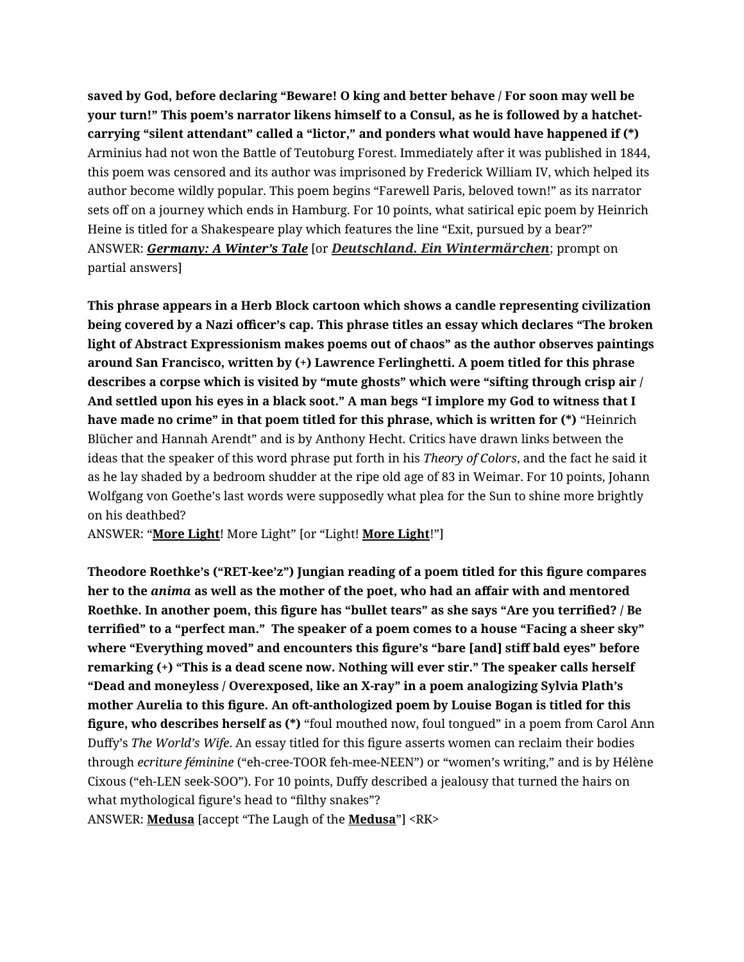**saved by God, before declaring "Beware! O king and better behave / For soon may well be your turn!" This poem's narrator likens himself to a Consul, as he is followed by a hatchetcarrying "silent attendant" called a "lictor," and ponders what would have happened if (\*)**  Arminius had not won the Battle of Teutoburg Forest. Immediately after it was published in 1844, this poem was censored and its author was imprisoned by Frederick William IV, which helped its author become wildly popular. This poem begins "Farewell Paris, beloved town!" as its narrator sets off on a journey which ends in Hamburg. For 10 points, what satirical epic poem by Heinrich Heine is titled for a Shakespeare play which features the line "Exit, pursued by a bear?" ANSWER: *Germany: A Winter's Tale* [or *Deutschland. Ein Wintermärchen*; prompt on partial answers]

**This phrase appears in a Herb Block cartoon which shows a candle representing civilization being covered by a Nazi officer's cap. This phrase titles an essay which declares "The broken light of Abstract Expressionism makes poems out of chaos" as the author observes paintings around San Francisco, written by (+) Lawrence Ferlinghetti. A poem titled for this phrase describes a corpse which is visited by "mute ghosts" which were "sifting through crisp air / And settled upon his eyes in a black soot." A man begs "I implore my God to witness that I have made no crime" in that poem titled for this phrase, which is written for (\*)** "Heinrich Blücher and Hannah Arendt" and is by Anthony Hecht. Critics have drawn links between the ideas that the speaker of this word phrase put forth in his *Theory of Colors*, and the fact he said it as he lay shaded by a bedroom shudder at the ripe old age of 83 in Weimar. For 10 points, Johann Wolfgang von Goethe's last words were supposedly what plea for the Sun to shine more brightly on his deathbed?

ANSWER: "**More Light**! More Light" [or "Light! **More Light**!"]

**Theodore Roethke's ("RET-kee'z") Jungian reading of a poem titled for this figure compares her to the** *anima* **as well as the mother of the poet, who had an affair with and mentored Roethke. In another poem, this figure has "bullet tears" as she says "Are you terrified? / Be terrified" to a "perfect man." The speaker of a poem comes to a house "Facing a sheer sky" where "Everything moved" and encounters this figure's "bare [and] stiff bald eyes" before remarking (+) "This is a dead scene now. Nothing will ever stir." The speaker calls herself "Dead and moneyless / Overexposed, like an X-ray" in a poem analogizing Sylvia Plath's mother Aurelia to this figure. An oft-anthologized poem by Louise Bogan is titled for this figure, who describes herself as (\*)** "foul mouthed now, foul tongued" in a poem from Carol Ann Duffy's *The World's Wife*. An essay titled for this figure asserts women can reclaim their bodies through *ecriture féminine* ("eh-cree-TOOR feh-mee-NEEN") or "women's writing," and is by Hélène Cixous ("eh-LEN seek-SOO"). For 10 points, Duffy described a jealousy that turned the hairs on what mythological figure's head to "filthy snakes"?

ANSWER: **Medusa** [accept "The Laugh of the **Medusa**"] <RK>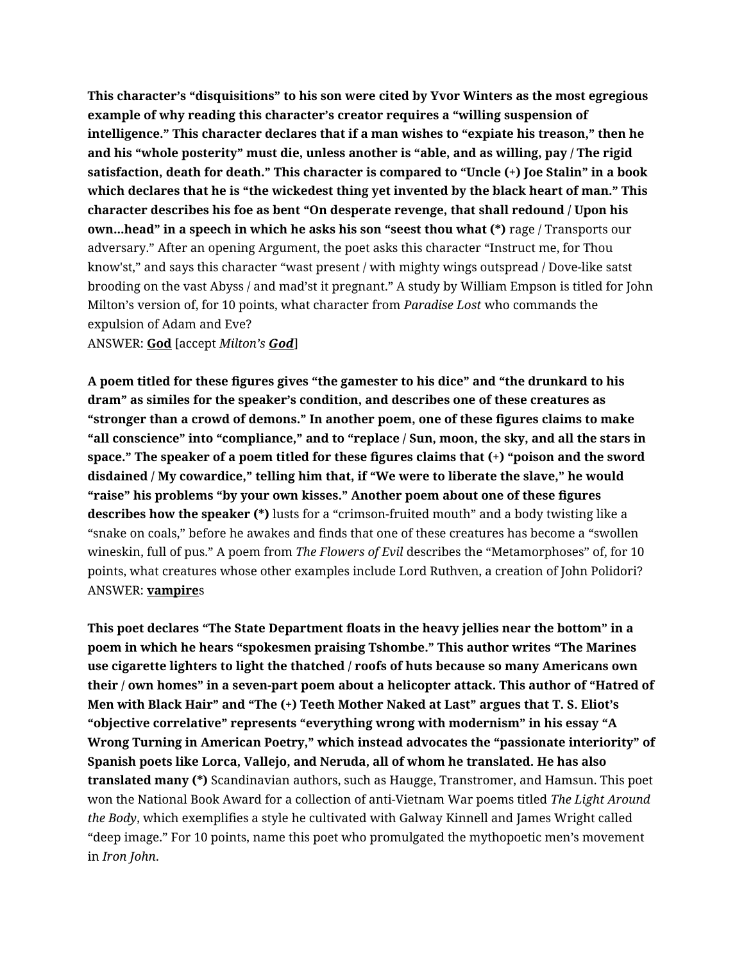**This character's "disquisitions" to his son were cited by Yvor Winters as the most egregious example of why reading this character's creator requires a "willing suspension of intelligence." This character declares that if a man wishes to "expiate his treason," then he and his "whole posterity" must die, unless another is "able, and as willing, pay / The rigid satisfaction, death for death." This character is compared to "Uncle (+) Joe Stalin" in a book which declares that he is "the wickedest thing yet invented by the black heart of man." This character describes his foe as bent "On desperate revenge, that shall redound / Upon his own...head" in a speech in which he asks his son "seest thou what (\*)** rage / Transports our adversary." After an opening Argument, the poet asks this character "Instruct me, for Thou know'st," and says this character "wast present / with mighty wings outspread / Dove-like satst brooding on the vast Abyss / and mad'st it pregnant." A study by William Empson is titled for John Milton's version of, for 10 points, what character from *Paradise Lost* who commands the expulsion of Adam and Eve?

ANSWER: **God** [accept *Milton's God*]

**A poem titled for these figures gives "the gamester to his dice" and "the drunkard to his dram" as similes for the speaker's condition, and describes one of these creatures as "stronger than a crowd of demons." In another poem, one of these figures claims to make "all conscience" into "compliance," and to "replace / Sun, moon, the sky, and all the stars in space." The speaker of a poem titled for these figures claims that (+) "poison and the sword disdained / My cowardice," telling him that, if "We were to liberate the slave," he would "raise" his problems "by your own kisses." Another poem about one of these figures describes how the speaker (\*)** lusts for a "crimson-fruited mouth" and a body twisting like a "snake on coals," before he awakes and finds that one of these creatures has become a "swollen wineskin, full of pus." A poem from *The Flowers of Evil* describes the "Metamorphoses" of, for 10 points, what creatures whose other examples include Lord Ruthven, a creation of John Polidori? ANSWER: **vampire**s

**This poet declares "The State Department floats in the heavy jellies near the bottom" in a poem in which he hears "spokesmen praising Tshombe." This author writes "The Marines use cigarette lighters to light the thatched / roofs of huts because so many Americans own their / own homes" in a seven-part poem about a helicopter attack. This author of "Hatred of Men with Black Hair" and "The (+) Teeth Mother Naked at Last" argues that T. S. Eliot's "objective correlative" represents "everything wrong with modernism" in his essay "A Wrong Turning in American Poetry," which instead advocates the "passionate interiority" of Spanish poets like Lorca, Vallejo, and Neruda, all of whom he translated. He has also translated many (\*)** Scandinavian authors, such as Haugge, Transtromer, and Hamsun. This poet won the National Book Award for a collection of anti-Vietnam War poems titled *The Light Around the Body*, which exemplifies a style he cultivated with Galway Kinnell and James Wright called "deep image." For 10 points, name this poet who promulgated the mythopoetic men's movement in *Iron John*.